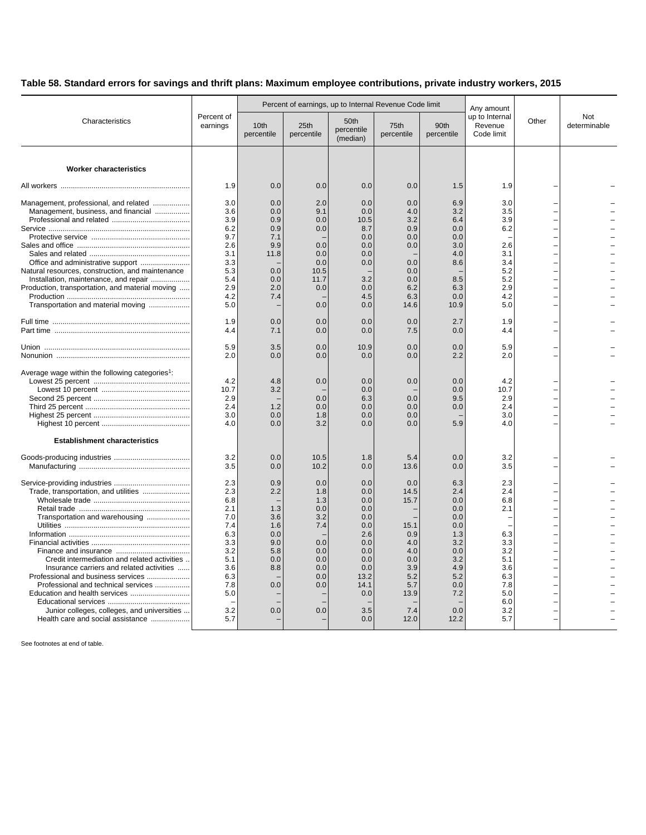## **Table 58. Standard errors for savings and thrift plans: Maximum employee contributions, private industry workers, 2015**

| Characteristics                                                                                                                                                                                                                                                                                                                      | Percent of<br>earnings                                                                                       |                                                                                  |                                                                                         | Percent of earnings, up to Internal Revenue Code limit                                                         | Any amount                                                                                          |                                                                                                               |                                                                                                                                   |       |                     |
|--------------------------------------------------------------------------------------------------------------------------------------------------------------------------------------------------------------------------------------------------------------------------------------------------------------------------------------|--------------------------------------------------------------------------------------------------------------|----------------------------------------------------------------------------------|-----------------------------------------------------------------------------------------|----------------------------------------------------------------------------------------------------------------|-----------------------------------------------------------------------------------------------------|---------------------------------------------------------------------------------------------------------------|-----------------------------------------------------------------------------------------------------------------------------------|-------|---------------------|
|                                                                                                                                                                                                                                                                                                                                      |                                                                                                              | 10th<br>percentile                                                               | 25th<br>percentile                                                                      | 50th<br>percentile<br>(median)                                                                                 | 75th<br>percentile                                                                                  | 90th<br>percentile                                                                                            | up to Internal<br>Revenue<br>Code limit                                                                                           | Other | Not<br>determinable |
| <b>Worker characteristics</b>                                                                                                                                                                                                                                                                                                        |                                                                                                              |                                                                                  |                                                                                         |                                                                                                                |                                                                                                     |                                                                                                               |                                                                                                                                   |       |                     |
|                                                                                                                                                                                                                                                                                                                                      | 1.9                                                                                                          | 0.0                                                                              | 0.0                                                                                     | 0.0                                                                                                            | 0.0                                                                                                 | 1.5                                                                                                           | 1.9                                                                                                                               |       |                     |
| Management, professional, and related<br>Management, business, and financial<br>Natural resources, construction, and maintenance<br>Installation, maintenance, and repair<br>Production, transportation, and material moving<br>Transportation and material moving                                                                   | 3.0<br>3.6<br>3.9<br>6.2<br>9.7<br>2.6<br>3.1<br>3.3<br>5.3<br>5.4<br>2.9<br>4.2<br>5.0                      | 0.0<br>0.0<br>0.9<br>0.9<br>7.1<br>9.9<br>11.8<br>0.0<br>0.0<br>2.0<br>7.4       | 2.0<br>9.1<br>0.0<br>0.0<br>0.0<br>0.0<br>0.0<br>10.5<br>11.7<br>0.0<br>0.0             | 0.0<br>0.0<br>10.5<br>8.7<br>0.0<br>0.0<br>0.0<br>0.0<br>3.2<br>0.0<br>4.5<br>0.0                              | 0.0<br>4.0<br>3.2<br>0.9<br>0.0<br>0.0<br>0.0<br>0.0<br>0.0<br>6.2<br>6.3<br>14.6                   | 6.9<br>3.2<br>6.4<br>0.0<br>0.0<br>3.0<br>4.0<br>8.6<br>8.5<br>6.3<br>0.0<br>10.9                             | 3.0<br>3.5<br>3.9<br>6.2<br>2.6<br>3.1<br>3.4<br>5.2<br>5.2<br>2.9<br>4.2<br>5.0                                                  |       |                     |
|                                                                                                                                                                                                                                                                                                                                      | 1.9<br>4.4                                                                                                   | 0.0<br>7.1                                                                       | 0.0<br>0.0                                                                              | 0.0<br>0.0                                                                                                     | 0.0<br>7.5                                                                                          | 2.7<br>0.0                                                                                                    | 1.9<br>4.4                                                                                                                        |       |                     |
|                                                                                                                                                                                                                                                                                                                                      | 5.9<br>2.0                                                                                                   | 3.5<br>0.0                                                                       | 0.0<br>0.0                                                                              | 10.9<br>0.0                                                                                                    | 0.0<br>0.0                                                                                          | 0.0<br>2.2                                                                                                    | 5.9<br>2.0                                                                                                                        |       |                     |
| Average wage within the following categories <sup>1</sup> :                                                                                                                                                                                                                                                                          | 4.2<br>10.7<br>2.9<br>2.4<br>3.0<br>4.0                                                                      | 4.8<br>3.2<br>1.2<br>0.0<br>0.0                                                  | 0.0<br>0.0<br>0.0<br>1.8<br>3.2                                                         | 0.0<br>0.0<br>6.3<br>0.0<br>0.0<br>0.0                                                                         | 0.0<br>0.0<br>0.0<br>0.0<br>0.0                                                                     | 0.0<br>0.0<br>9.5<br>0.0<br>5.9                                                                               | 4.2<br>10.7<br>2.9<br>2.4<br>3.0<br>4.0                                                                                           |       |                     |
| <b>Establishment characteristics</b>                                                                                                                                                                                                                                                                                                 | 3.2                                                                                                          | 0.0                                                                              | 10.5                                                                                    | 1.8                                                                                                            | 5.4                                                                                                 | 0.0                                                                                                           | 3.2                                                                                                                               |       |                     |
|                                                                                                                                                                                                                                                                                                                                      | 3.5                                                                                                          | 0.0                                                                              | 10.2                                                                                    | 0.0                                                                                                            | 13.6                                                                                                | 0.0                                                                                                           | 3.5                                                                                                                               |       |                     |
| Trade, transportation, and utilities<br>Transportation and warehousing<br>Credit intermediation and related activities<br>Insurance carriers and related activities<br>Professional and business services<br>Professional and technical services<br>Junior colleges, colleges, and universities<br>Health care and social assistance | 2.3<br>2.3<br>6.8<br>2.1<br>7.0<br>7.4<br>6.3<br>3.3<br>3.2<br>5.1<br>3.6<br>6.3<br>7.8<br>5.0<br>3.2<br>5.7 | 0.9<br>2.2<br>1.3<br>3.6<br>1.6<br>0.0<br>9.0<br>5.8<br>0.0<br>8.8<br>0.0<br>0.0 | 0.0<br>1.8<br>1.3<br>0.0<br>3.2<br>7.4<br>0.0<br>0.0<br>0.0<br>0.0<br>0.0<br>0.0<br>0.0 | 0.0<br>0.0<br>0.0<br>0.0<br>0.0<br>0.0<br>2.6<br>0.0<br>0.0<br>0.0<br>0.0<br>13.2<br>14.1<br>0.0<br>3.5<br>0.0 | 0.0<br>14.5<br>15.7<br>15.1<br>0.9<br>4.0<br>4.0<br>0.0<br>3.9<br>5.2<br>5.7<br>13.9<br>7.4<br>12.0 | 6.3<br>2.4<br>0.0<br>0.0<br>0.0<br>0.0<br>1.3<br>3.2<br>0.0<br>3.2<br>4.9<br>5.2<br>0.0<br>7.2<br>0.0<br>12.2 | 2.3<br>2.4<br>6.8<br>2.1<br>$\overline{\phantom{a}}$<br>6.3<br>3.3<br>3.2<br>5.1<br>3.6<br>6.3<br>7.8<br>5.0<br>6.0<br>3.2<br>5.7 |       |                     |

See footnotes at end of table.